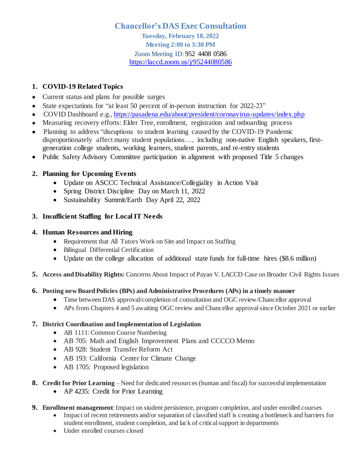# **Chancellor's DAS Exec Consultation**

**Tuesday, February 18, 2022 Meeting 2:00 to 3:30 PM** Zoom Meeting ID: 952 4408 0586 <https://laccd.zoom.us/j/95244080586>

## **1. COVID-19 Related Topics**

- Current status and plans for possible surges
- State expectations for "at least 50 percent of in-person instruction for 2022-23"
- COVID Dashboard e.g., <https://pasadena.edu/about/president/coronavirus-updates/index.php>
- Measuring recovery efforts: Elder Tree, enrollment, registration and onboarding process
- Planning to address "disruptions to student learning caused by the COVID-19 Pandemic disproportionately affect many student populations…, including non-native English speakers, firstgeneration college students, working learners, student parents, and re-entry students
- Public Safety Advisory Committee participation in alignment with proposed Title 5 changes

# **2. Planning for Upcoming Events**

- Update on ASCCC Technical Assistance/Collegiality in Action Visit
- Spring District Discipline Day on March 11, 2022
- Sustainability Summit/Earth Day April 22, 2022

# **3. Insufficient Staffing for Local IT Needs**

# **4. Human Resources and Hiring**

- Requirement that All Tutors Work on Site and Impact on Staffing
- Bilingual Differential Certification
- Update on the college allocation of additional state funds for full-time hires (\$8.6 million)
- **5. Access and Disability Rights:** Concerns About Impact of Payan V. LACCD Case on Broader Civil Rights Issues

## **6. Posting newBoard Policies (BPs) and Administrative Procedures (APs) in a timely manner**

- Time between DAS approval/completion of consultation and OGC review/Chancellor approval
- APs from Chapters 4 and 5 awaiting OGC review and Chancellor approval since October 2021 or earlier

# **7. District Coordination and Implementation of Legislation**

- AB 1111: Common Course Numbering
- AB 705: Math and English Improvement Plans and CCCCO Memo
- AB 928: Student Transfer Reform Act
- AB 193: California Center for Climate Change
- AB 1705: Proposed legislation
- **8. Credit for Prior Learning** Need for dedicated resources(human and fiscal) for successful implementation
	- AP 4235: Credit for Prior Learning
- **9. Enrollment management**: Impact on student persistence, program completion, and under enrolled courses
	- Impact of recent retirements and/or separation of classified staff is creating a bottleneck and barriers for student enrollment, student completion, and lack of critical support in departments
	- Under enrolled courses closed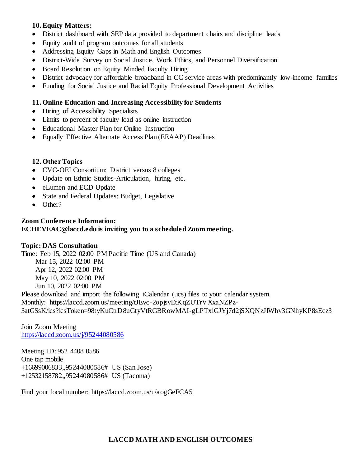### **10.Equity Matters:**

- District dashboard with SEP data provided to department chairs and discipline leads
- Equity audit of program outcomes for all students
- Addressing Equity Gaps in Math and English Outcomes
- District-Wide Survey on Social Justice, Work Ethics, and Personnel Diversification
- Board Resolution on Equity Minded Faculty Hiring
- District advocacy for affordable broadband in CC service areas with predominantly low-income families
- Funding for Social Justice and Racial Equity Professional Development Activities

#### **11.Online Education and Increasing Accessibility for Students**

- Hiring of Accessibility Specialists
- Limits to percent of faculty load as online instruction
- Educational Master Plan for Online Instruction
- Equally Effective Alternate Access Plan (EEAAP) Deadlines

#### **12.OtherTopics**

- CVC-OEI Consortium: District versus 8 colleges
- Update on Ethnic Studies-Articulation, hiring, etc.
- eLumen and ECD Update
- State and Federal Updates: Budget, Legislative
- Other?

#### **Zoom Conference Information: ECHEVEAC@laccd.edu is inviting you to a scheduled Zoom meeting.**

#### **Topic: DAS Consultation**

Time: Feb 15, 2022 02:00 PM Pacific Time (US and Canada) Mar 15, 2022 02:00 PM Apr 12, 2022 02:00 PM May 10, 2022 02:00 PM

Jun 10, 2022 02:00 PM

Please download and import the following iCalendar (.ics) files to your calendar system. Monthly: https://laccd.zoom.us/meeting/tJEvc-2opjsvEtKqZUTrVXxaNZPz-3atGSsK/ics?icsToken=98tyKuCtrD8uGtyVtRGBRowMAI-gLPTxiGJYj7d2jSXQNzJlWhv3GNhyKP8sEcz3

Join Zoom Meeting <https://laccd.zoom.us/j/95244080586>

Meeting ID: 952 4408 0586 One tap mobile +16699006833,,95244080586# US (San Jose) +12532158782,,95244080586# US (Tacoma)

Find your local number: https://laccd.zoom.us/u/aogGeFCA5